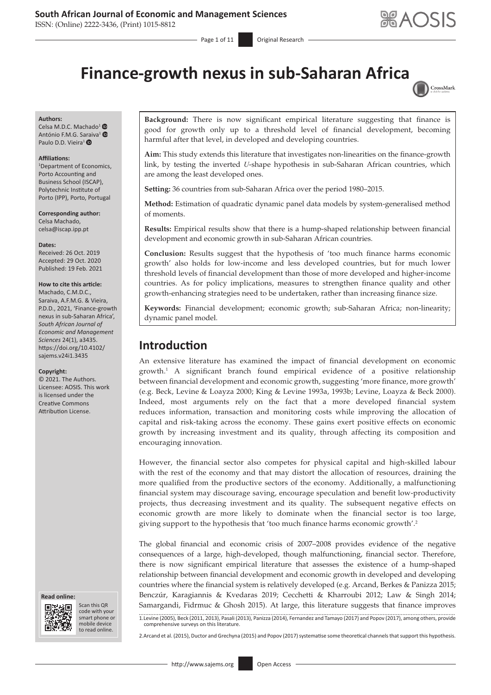## **South African Journal of Economic and Management Sciences**

ISSN: (Online) 2222-3436, (Print) 1015-8812

 $-$  Page 1 of 11 Original Research



# **Finance-growth nexus in sub-Saharan Africa**



#### **Authors:**

Celsa M.D.C. Machado<sup>[1](https://orcid.org/0000-0003-4287-8316)</sup> ® António F.M.G. S[araiv](https://orcid.org/0000-0003-3308-6712)a<sup>[1](https://orcid.org/0000-0002-7964-0961)</sup> <sup>O</sup> Paulo D.D. Vieira<sup>1</sup>

#### **Affiliations:**

1 Department of Economics, Porto Accounting and Business School (ISCAP), Polytechnic Institute of Porto (IPP), Porto, Portugal

**Corresponding author:** Celsa Machado, [celsa@iscap.ipp.pt](mailto:celsa@iscap.ipp.pt)

**Dates:** Received: 26 Oct. 2019 Accepted: 29 Oct. 2020 Published: 19 Feb. 2021

#### **How to cite this article:**

Machado, C.M.D.C., Saraiva, A.F.M.G. & Vieira, P.D.D., 2021, 'Finance-growth nexus in sub-Saharan Africa', *South African Journal of Economic and Management Sciences* 24(1), a3435. [https://doi.org/10.4102/](https://doi.org/10.4102/sajems.v24i1.3435) [sajems.v24i1.3435](https://doi.org/10.4102/sajems.v24i1.3435)

#### **Copyright:**

© 2021. The Authors. Licensee: AOSIS. This work is licensed under the Creative Commons Attribution License.





Scan this QR code with your Scan this QR<br>code with your<br>smart phone or<br>mobile device mobile device to read online. to read online.

**Background:** There is now significant empirical literature suggesting that finance is good for growth only up to a threshold level of financial development, becoming harmful after that level, in developed and developing countries.

**Aim:** This study extends this literature that investigates non-linearities on the finance-growth link, by testing the inverted *U*-shape hypothesis in sub-Saharan African countries, which are among the least developed ones.

**Setting:** 36 countries from sub-Saharan Africa over the period 1980–2015.

**Method:** Estimation of quadratic dynamic panel data models by system-generalised method of moments.

**Results:** Empirical results show that there is a hump-shaped relationship between financial development and economic growth in sub-Saharan African countries.

**Conclusion:** Results suggest that the hypothesis of 'too much finance harms economic growth' also holds for low-income and less developed countries, but for much lower threshold levels of financial development than those of more developed and higher-income countries. As for policy implications, measures to strengthen finance quality and other growth-enhancing strategies need to be undertaken, rather than increasing finance size.

**Keywords:** Financial development; economic growth; sub-Saharan Africa; non-linearity; dynamic panel model.

# **Introduction**

An extensive literature has examined the impact of financial development on economic growth.1 A significant branch found empirical evidence of a positive relationship between financial development and economic growth, suggesting 'more finance, more growth' (e.g. Beck, Levine & Loayza 2000; King & Levine 1993a, 1993b; Levine, Loayza & Beck 2000). Indeed, most arguments rely on the fact that a more developed financial system reduces information, transaction and monitoring costs while improving the allocation of capital and risk-taking across the economy. These gains exert positive effects on economic growth by increasing investment and its quality, through affecting its composition and encouraging innovation.

However, the financial sector also competes for physical capital and high-skilled labour with the rest of the economy and that may distort the allocation of resources, draining the more qualified from the productive sectors of the economy. Additionally, a malfunctioning financial system may discourage saving, encourage speculation and benefit low-productivity projects, thus decreasing investment and its quality. The subsequent negative effects on economic growth are more likely to dominate when the financial sector is too large, giving support to the hypothesis that 'too much finance harms economic growth'.2

The global financial and economic crisis of 2007–2008 provides evidence of the negative consequences of a large, high-developed, though malfunctioning, financial sector. Therefore, there is now significant empirical literature that assesses the existence of a hump-shaped relationship between financial development and economic growth in developed and developing countries where the financial system is relatively developed (e.g. Arcand, Berkes & Panizza 2015; Benczúr, Karagiannis & Kvedaras 2019; Cecchetti & Kharroubi 2012; Law & Singh 2014; Samargandi, Fidrmuc & Ghosh 2015). At large, this literature suggests that finance improves 1.Levine (2005), Beck (2011, 2013), Pasali (2013), Panizza (2014), Fernandez and Tamayo (2017) and Popov (2017), among others, provide comprehensive surveys on this literature.

2.Arcand et al. (2015), Ductor and Grechyna (2015) and Popov (2017) systematise some theoretical channels that support this hypothesis.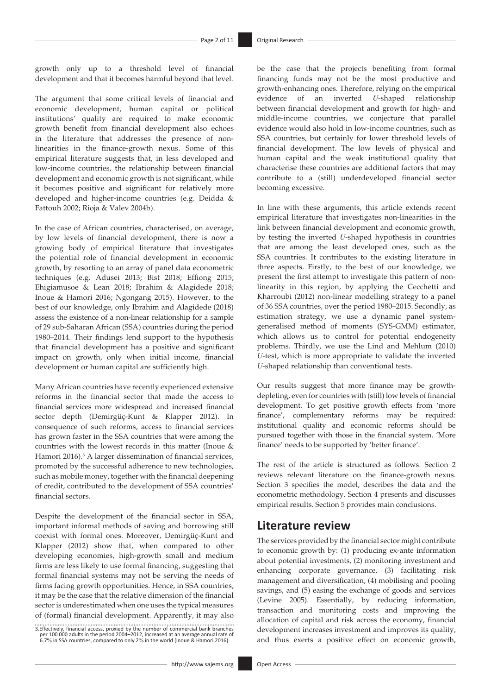growth only up to a threshold level of financial development and that it becomes harmful beyond that level.

The argument that some critical levels of financial and economic development, human capital or political institutions' quality are required to make economic growth benefit from financial development also echoes in the literature that addresses the presence of nonlinearities in the finance-growth nexus. Some of this empirical literature suggests that, in less developed and low-income countries, the relationship between financial development and economic growth is not significant, while it becomes positive and significant for relatively more developed and higher-income countries (e.g. Deidda & Fattouh 2002; Rioja & Valev 2004b).

In the case of African countries, characterised, on average, by low levels of financial development, there is now a growing body of empirical literature that investigates the potential role of financial development in economic growth, by resorting to an array of panel data econometric techniques (e.g. Adusei 2013; Bist 2018; Effiong 2015; Ehigiamusoe & Lean 2018; Ibrahim & Alagidede 2018; Inoue & Hamori 2016; Ngongang 2015). However, to the best of our knowledge, only Ibrahim and Alagidede (2018) assess the existence of a non-linear relationship for a sample of 29 sub-Saharan African (SSA) countries during the period 1980–2014. Their findings lend support to the hypothesis that financial development has a positive and significant impact on growth, only when initial income, financial development or human capital are sufficiently high.

Many African countries have recently experienced extensive reforms in the financial sector that made the access to financial services more widespread and increased financial sector depth (Demirgüç-Kunt & Klapper 2012). In consequence of such reforms, access to financial services has grown faster in the SSA countries that were among the countries with the lowest records in this matter (Inoue & Hamori 2016).<sup>3</sup> A larger dissemination of financial services, promoted by the successful adherence to new technologies, such as mobile money, together with the financial deepening of credit, contributed to the development of SSA countries' financial sectors.

Despite the development of the financial sector in SSA, important informal methods of saving and borrowing still coexist with formal ones. Moreover, Demirgüç-Kunt and Klapper (2012) show that, when compared to other developing economies, high-growth small and medium firms are less likely to use formal financing, suggesting that formal financial systems may not be serving the needs of firms facing growth opportunities. Hence, in SSA countries, it may be the case that the relative dimension of the financial sector is underestimated when one uses the typical measures of (formal) financial development. Apparently, it may also

3.Effectively, financial access, proxied by the number of commercial bank branches.<br>per 100 000 adults in the period 2004–2012, increased at an average annual rate of<br>6.7% in SSA countries, compared to only 2% in the world

be the case that the projects benefiting from formal financing funds may not be the most productive and growth-enhancing ones. Therefore, relying on the empirical evidence of an inverted *U*-shaped relationship between financial development and growth for high- and middle-income countries, we conjecture that parallel evidence would also hold in low-income countries, such as SSA countries, but certainly for lower threshold levels of financial development. The low levels of physical and human capital and the weak institutional quality that characterise these countries are additional factors that may contribute to a (still) underdeveloped financial sector becoming excessive.

In line with these arguments, this article extends recent empirical literature that investigates non-linearities in the link between financial development and economic growth, by testing the inverted *U*-shaped hypothesis in countries that are among the least developed ones, such as the SSA countries. It contributes to the existing literature in three aspects. Firstly, to the best of our knowledge, we present the first attempt to investigate this pattern of nonlinearity in this region, by applying the Cecchetti and Kharroubi (2012) non-linear modelling strategy to a panel of 36 SSA countries, over the period 1980–2015. Secondly, as estimation strategy, we use a dynamic panel systemgeneralised method of moments (SYS-GMM) estimator, which allows us to control for potential endogeneity problems. Thirdly, we use the Lind and Mehlum (2010) *U*-test, which is more appropriate to validate the inverted *U*-shaped relationship than conventional tests.

Our results suggest that more finance may be growthdepleting, even for countries with (still) low levels of financial development. To get positive growth effects from 'more finance', complementary reforms may be required: institutional quality and economic reforms should be pursued together with those in the financial system. 'More finance' needs to be supported by 'better finance'.

The rest of the article is structured as follows. Section 2 reviews relevant literature on the finance-growth nexus. Section 3 specifies the model, describes the data and the econometric methodology. Section 4 presents and discusses empirical results. Section 5 provides main conclusions.

### **Literature review**

The services provided by the financial sector might contribute to economic growth by: (1) producing ex-ante information about potential investments, (2) monitoring investment and enhancing corporate governance, (3) facilitating risk management and diversification, (4) mobilising and pooling savings, and (5) easing the exchange of goods and services (Levine 2005). Essentially, by reducing information, transaction and monitoring costs and improving the allocation of capital and risk across the economy, financial development increases investment and improves its quality, and thus exerts a positive effect on economic growth,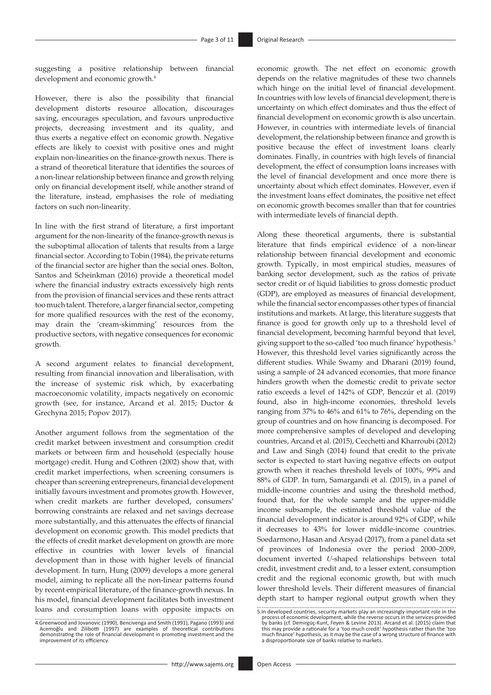suggesting a positive relationship between financial development and economic growth.<sup>4</sup>

However, there is also the possibility that financial development distorts resource allocation, discourages saving, encourages speculation, and favours unproductive projects, decreasing investment and its quality, and thus exerts a negative effect on economic growth. Negative effects are likely to coexist with positive ones and might explain non-linearities on the finance-growth nexus. There is a strand of theoretical literature that identifies the sources of a non-linear relationship between finance and growth relying only on financial development itself, while another strand of the literature, instead, emphasises the role of mediating factors on such non-linearity.

In line with the first strand of literature, a first important argument for the non-linearity of the finance-growth nexus is the suboptimal allocation of talents that results from a large financial sector. According to Tobin (1984), the private returns of the financial sector are higher than the social ones. Bolton, Santos and Scheinkman (2016) provide a theoretical model where the financial industry extracts excessively high rents from the provision of financial services and these rents attract too much talent. Therefore, a larger financial sector, competing for more qualified resources with the rest of the economy, may drain the 'cream-skimming' resources from the productive sectors, with negative consequences for economic growth.

A second argument relates to financial development, resulting from financial innovation and liberalisation, with the increase of systemic risk which, by exacerbating macroeconomic volatility, impacts negatively on economic growth (see, for instance, Arcand et al. 2015; Ductor & Grechyna 2015; Popov 2017).

Another argument follows from the segmentation of the credit market between investment and consumption credit markets or between firm and household (especially house mortgage) credit. Hung and Cothren (2002) show that, with credit market imperfections, when screening consumers is cheaper than screening entrepreneurs, financial development initially favours investment and promotes growth. However, when credit markets are further developed, consumers' borrowing constraints are relaxed and net savings decrease more substantially, and this attenuates the effects of financial development on economic growth. This model predicts that the effects of credit market development on growth are more effective in countries with lower levels of financial development than in those with higher levels of financial development. In turn, Hung (2009) develops a more general model, aiming to replicate all the non-linear patterns found by recent empirical literature, of the finance-growth nexus. In his model, financial development facilitates both investment loans and consumption loans with opposite impacts on economic growth. The net effect on economic growth depends on the relative magnitudes of these two channels which hinge on the initial level of financial development. In countries with low levels of financial development, there is uncertainty on which effect dominates and thus the effect of financial development on economic growth is also uncertain. However, in countries with intermediate levels of financial development, the relationship between finance and growth is positive because the effect of investment loans clearly dominates. Finally, in countries with high levels of financial development, the effect of consumption loans increases with the level of financial development and once more there is uncertainty about which effect dominates. However, even if the investment loans effect dominates, the positive net effect on economic growth becomes smaller than that for countries with intermediate levels of financial depth.

Along these theoretical arguments, there is substantial literature that finds empirical evidence of a non-linear relationship between financial development and economic growth. Typically, in most empirical studies, measures of banking sector development, such as the ratios of private sector credit or of liquid liabilities to gross domestic product (GDP), are employed as measures of financial development, while the financial sector encompasses other types of financial institutions and markets. At large, this literature suggests that finance is good for growth only up to a threshold level of financial development, becoming harmful beyond that level, giving support to the so-called 'too much finance' hypothesis.5 However, this threshold level varies significantly across the different studies. While Swamy and Dharani (2019) found, using a sample of 24 advanced economies, that more finance hinders growth when the domestic credit to private sector ratio exceeds a level of 142% of GDP, Benczúr et al. (2019) found, also in high-income economies, threshold levels ranging from 37% to 46% and 61% to 76%, depending on the group of countries and on how financing is decomposed. For more comprehensive samples of developed and developing countries, Arcand et al. (2015), Cecchetti and Kharroubi (2012) and Law and Singh (2014) found that credit to the private sector is expected to start having negative effects on output growth when it reaches threshold levels of 100%, 99% and 88% of GDP. In turn, Samargandi et al. (2015), in a panel of middle-income countries and using the threshold method, found that, for the whole sample and the upper-middle income subsample, the estimated threshold value of the financial development indicator is around 92% of GDP, while it decreases to 43% for lower middle-income countries. Soedarmono, Hasan and Arsyad (2017), from a panel data set of provinces of Indonesia over the period 2000–2009, document inverted *U*-shaped relationships between total credit, investment credit and, to a lesser extent, consumption credit and the regional economic growth, but with much lower threshold levels. Their different measures of financial depth start to hamper regional output growth when they

<sup>4.</sup>Greenwood and Jovanovic (1990), Bencivenga and Smith (1991), Pagano (1993) and Acemoğlu and Zilibotti (1997) are examples of theoretical contributions demonstrating the role of financial development in promoting investment and the improvement of its efficiency.

<sup>5.</sup>In developed countries, security markets play an increasingly important role in the process of economic development, while the reverse occurs in the services provided<br>by banks (cf. Demirgüç-Kunt, Feyen & Levine 2013). Arcand et al. (2015) claim that<br>this may provide a rationale for a 'too much credit' hyp much finance' hypothesis, as it may be the case of a wrong structure of finance with a disproportionate size of banks relative to markets.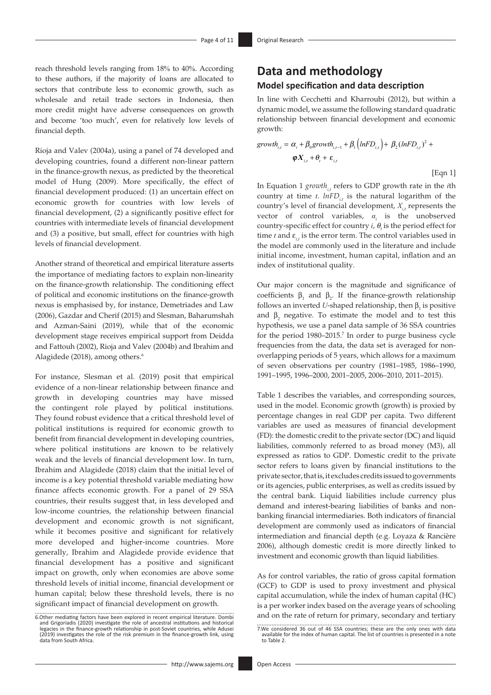reach threshold levels ranging from 18% to 40%. According to these authors, if the majority of loans are allocated to sectors that contribute less to economic growth, such as wholesale and retail trade sectors in Indonesia, then more credit might have adverse consequences on growth and become 'too much', even for relatively low levels of financial depth.

Rioja and Valev (2004a), using a panel of 74 developed and developing countries, found a different non-linear pattern in the finance-growth nexus, as predicted by the theoretical model of Hung (2009). More specifically, the effect of financial development produced: (1) an uncertain effect on economic growth for countries with low levels of financial development, (2) a significantly positive effect for countries with intermediate levels of financial development and (3) a positive, but small, effect for countries with high levels of financial development.

Another strand of theoretical and empirical literature asserts the importance of mediating factors to explain non-linearity on the finance-growth relationship. The conditioning effect of political and economic institutions on the finance-growth nexus is emphasised by, for instance, Demetriades and Law (2006), Gazdar and Cherif (2015) and Slesman, Baharumshah and Azman-Saini (2019), while that of the economic development stage receives empirical support from Deidda and Fattouh (2002), Rioja and Valev (2004b) and Ibrahim and Alagidede (2018), among others.<sup>6</sup>

For instance, Slesman et al. (2019) posit that empirical evidence of a non-linear relationship between finance and growth in developing countries may have missed the contingent role played by political institutions. They found robust evidence that a critical threshold level of political institutions is required for economic growth to benefit from financial development in developing countries, where political institutions are known to be relatively weak and the levels of financial development low. In turn, Ibrahim and Alagidede (2018) claim that the initial level of income is a key potential threshold variable mediating how finance affects economic growth. For a panel of 29 SSA countries, their results suggest that, in less developed and low-income countries, the relationship between financial development and economic growth is not significant, while it becomes positive and significant for relatively more developed and higher-income countries. More generally, Ibrahim and Alagidede provide evidence that financial development has a positive and significant impact on growth, only when economies are above some threshold levels of initial income, financial development or human capital; below these threshold levels, there is no significant impact of financial development on growth.

# **Data and methodology Model specification and data description**

In line with Cecchetti and Kharroubi (2012), but within a dynamic model, we assume the following standard quadratic relationship between financial development and economic growth:

$$
growth_{i,t} = \alpha_i + \beta_0 growth_{i,t-1} + \beta_1 \left( lnFD_{i,t} \right) + \beta_2 (lnFD_{i,t})^2 +
$$
  

$$
\boldsymbol{\varphi} \boldsymbol{X}_{i,t} + \boldsymbol{\theta}_t + \boldsymbol{\varepsilon}_{i,t}
$$

[Eqn 1]

In Equation 1 *growth<sub>it</sub>* refers to GDP growth rate in the *i*th country at time  $t$ .  $lnFD_{i}$  is the natural logarithm of the country's level of financial development,  $X_{i,t}$  represents the vector of control variables, *α<sup>i</sup>* is the unobserved country-specific effect for country  $i$ ,  $\theta$ <sub>t</sub> is the period effect for time *t* and  $\varepsilon_{i}$  is the error term. The control variables used in the model are commonly used in the literature and include initial income, investment, human capital, inflation and an index of institutional quality.

Our major concern is the magnitude and significance of coefficients  $\beta_1$  and  $\beta_2$ . If the finance-growth relationship follows an inverted *U*-shaped relationship, then  $\beta_1$  is positive and  $\beta_2$  negative. To estimate the model and to test this hypothesis, we use a panel data sample of 36 SSA countries for the period 1980–2015.<sup>7</sup> In order to purge business cycle frequencies from the data, the data set is averaged for nonoverlapping periods of 5 years, which allows for a maximum of seven observations per country (1981–1985, 1986–1990, 1991–1995, 1996–2000, 2001–2005, 2006–2010, 2011–2015).

Table 1 describes the variables, and corresponding sources, used in the model. Economic growth (growth) is proxied by percentage changes in real GDP per capita. Two different variables are used as measures of financial development (FD): the domestic credit to the private sector (DC) and liquid liabilities, commonly referred to as broad money (M3), all expressed as ratios to GDP. Domestic credit to the private sector refers to loans given by financial institutions to the private sector, that is, it excludes credits issued to governments or its agencies, public enterprises, as well as credits issued by the central bank. Liquid liabilities include currency plus demand and interest-bearing liabilities of banks and nonbanking financial intermediaries. Both indicators of financial development are commonly used as indicators of financial intermediation and financial depth (e.g. Loyaza & Rancière 2006), although domestic credit is more directly linked to investment and economic growth than liquid liabilities.

As for control variables, the ratio of gross capital formation (GCF) to GDP is used to proxy investment and physical capital accumulation, while the index of human capital (HC) is a per worker index based on the average years of schooling and on the rate of return for primary, secondary and tertiary

<sup>6.</sup>Other mediating factors have been explored in recent empirical literature. Dombi<br>and Grigoriadis (2020) investigate the role of ancestral institutions and historical<br>legacies in the finance-growth relationship in post-So (2019) investigates the role of the risk premium in the finance-growth link, using data from South Africa.

<sup>7.</sup>We considered 36 out of 46 SSA countries; these are the only ones with data available for the index of human capital. The list of countries is presented in a note to Table 2.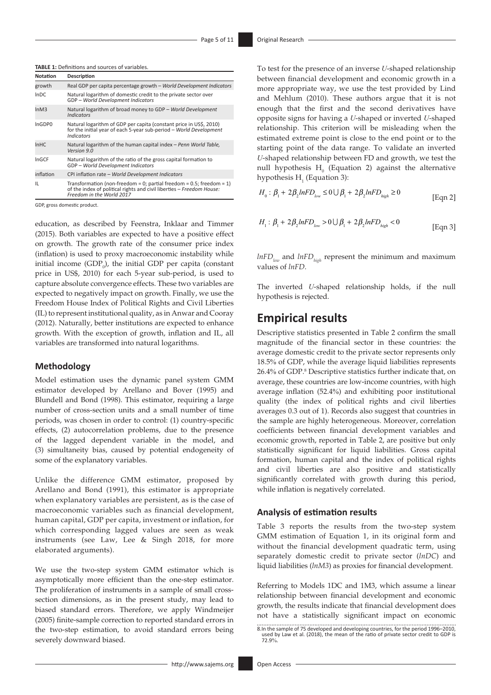| <b>TABLE 1:</b> Definitions and sources of variables. |
|-------------------------------------------------------|
|-------------------------------------------------------|

| Notation         | <b>Description</b>                                                                                                                                                               |
|------------------|----------------------------------------------------------------------------------------------------------------------------------------------------------------------------------|
| growth           | Real GDP per capita percentage growth - World Development Indicators                                                                                                             |
| InDC             | Natural logarithm of domestic credit to the private sector over<br>GDP - World Development Indicators                                                                            |
| lnM3             | Natural logarithm of broad money to GDP - World Development<br><b>Indicators</b>                                                                                                 |
| InGDP0           | Natural logarithm of GDP per capita (constant price in US\$, 2010)<br>for the initial year of each 5-year sub-period - World Development<br><b>Indicators</b>                    |
| In <sub>HC</sub> | Natural logarithm of the human capital index - Penn World Table,<br>Version 9.0                                                                                                  |
| InGCF            | Natural logarithm of the ratio of the gross capital formation to<br>GDP - World Development Indicators                                                                           |
| inflation        | CPI inflation rate - World Development Indicators                                                                                                                                |
| IL               | Transformation (non-freedom = 0; partial freedom = $0.5$ ; freedom = $1$ )<br>of the index of political rights and civil liberties - Freedom House:<br>Freedom in the World 2017 |

GDP, gross domestic product.

education, as described by Feenstra, Inklaar and Timmer (2015). Both variables are expected to have a positive effect on growth. The growth rate of the consumer price index (inflation) is used to proxy macroeconomic instability while initial income  $(GDP_0)$ , the initial GDP per capita (constant price in US\$, 2010) for each 5-year sub-period, is used to capture absolute convergence effects. These two variables are expected to negatively impact on growth. Finally, we use the Freedom House Index of Political Rights and Civil Liberties (IL) to represent institutional quality, as in Anwar and Cooray (2012). Naturally, better institutions are expected to enhance growth. With the exception of growth, inflation and IL, all variables are transformed into natural logarithms.

### **Methodology**

Model estimation uses the dynamic panel system GMM estimator developed by Arellano and Bover (1995) and Blundell and Bond (1998). This estimator, requiring a large number of cross-section units and a small number of time periods, was chosen in order to control: (1) country-specific effects, (2) autocorrelation problems, due to the presence of the lagged dependent variable in the model, and (3) simultaneity bias, caused by potential endogeneity of some of the explanatory variables.

Unlike the difference GMM estimator, proposed by Arellano and Bond (1991), this estimator is appropriate when explanatory variables are persistent, as is the case of macroeconomic variables such as financial development, human capital, GDP per capita, investment or inflation, for which corresponding lagged values are seen as weak instruments (see Law, Lee & Singh 2018, for more elaborated arguments).

We use the two-step system GMM estimator which is asymptotically more efficient than the one-step estimator. The proliferation of instruments in a sample of small crosssection dimensions, as in the present study, may lead to biased standard errors. Therefore, we apply Windmeijer (2005) finite-sample correction to reported standard errors in the two-step estimation, to avoid standard errors being severely downward biased.

To test for the presence of an inverse *U*-shaped relationship between financial development and economic growth in a more appropriate way, we use the test provided by Lind and Mehlum (2010). These authors argue that it is not enough that the first and the second derivatives have opposite signs for having a *U*-shaped or inverted *U*-shaped relationship. This criterion will be misleading when the estimated extreme point is close to the end point or to the starting point of the data range. To validate an inverted *U*-shaped relationship between FD and growth, we test the null hypothesis  $H_0$  (Equation 2) against the alternative hypothesis  $H<sub>1</sub>$  (Equation 3):

$$
H_0: \beta_1 + 2\beta_2 ln F D_{low} \le 0 \cup \beta_1 + 2\beta_2 ln F D_{high} \ge 0
$$
 [Eqn 2]

$$
H_1: \beta_1 + 2\beta_2 ln F D_{low} > 0 \cup \beta_1 + 2\beta_2 ln F D_{high} < 0
$$
 [Eqn 3]

 $lnFD_{low}$  and  $lnFD_{high}$  represent the minimum and maximum values of *lnFD*.

The inverted *U*-shaped relationship holds, if the null hypothesis is rejected.

### **Empirical results**

Descriptive statistics presented in Table 2 confirm the small magnitude of the financial sector in these countries: the average domestic credit to the private sector represents only 18.5% of GDP, while the average liquid liabilities represents 26.4% of GDP.8 Descriptive statistics further indicate that, on average, these countries are low-income countries, with high average inflation (52.4%) and exhibiting poor institutional quality (the index of political rights and civil liberties averages 0.3 out of 1). Records also suggest that countries in the sample are highly heterogeneous. Moreover, correlation coefficients between financial development variables and economic growth, reported in Table 2, are positive but only statistically significant for liquid liabilities. Gross capital formation, human capital and the index of political rights and civil liberties are also positive and statistically significantly correlated with growth during this period, while inflation is negatively correlated.

### **Analysis of estimation results**

Table 3 reports the results from the two-step system GMM estimation of Equation 1, in its original form and without the financial development quadratic term, using separately domestic credit to private sector (*lnDC*) and liquid liabilities (*lnM3*) as proxies for financial development.

Referring to Models 1DC and 1M3, which assume a linear relationship between financial development and economic growth, the results indicate that financial development does not have a statistically significant impact on economic

<sup>8.</sup>In the sample of 75 developed and developing countries, for the period 1996–2010, used by Law et al. (2018), the mean of the ratio of private sector credit to GDP is 72.9%.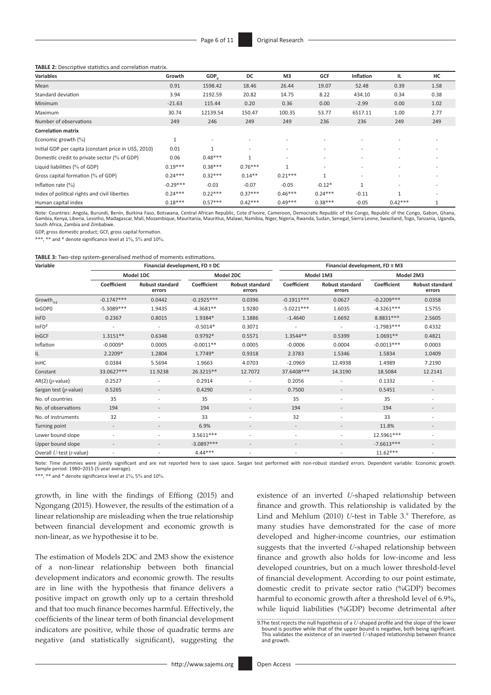**TABLE 2:** Descriptive statistics and correlation matrix.

| <b>Variables</b>                                      | Growth     | GDP <sub>0</sub> | DC                       | M <sub>3</sub>           | <b>GCF</b>               | <b>Inflation</b>         | 1L                       | HC                       |
|-------------------------------------------------------|------------|------------------|--------------------------|--------------------------|--------------------------|--------------------------|--------------------------|--------------------------|
| Mean                                                  | 0.91       | 1598.42          | 18.46                    | 26.44                    | 19.07                    | 52.48                    | 0.39                     | 1.58                     |
| Standard deviation                                    | 3.94       | 2192.59          | 20.82                    | 14.75                    | 8.22                     | 434.10                   | 0.34                     | 0.38                     |
| <b>Minimum</b>                                        | $-21.63$   | 115.44           | 0.20                     | 0.36                     | 0.00                     | $-2.99$                  | 0.00                     | 1.02                     |
| Maximum                                               | 30.74      | 12139.54         | 150.47                   | 100.35                   | 53.77                    | 6517.11                  | 1.00                     | 2.77                     |
| Number of observations                                | 249        | 246              | 249                      | 249                      | 236                      | 236                      | 249                      | 249                      |
| <b>Correlation matrix</b>                             |            |                  |                          |                          |                          |                          |                          |                          |
| Economic growth (%)                                   | T          |                  |                          |                          |                          |                          |                          |                          |
| Initial GDP per capita (constant price in US\$, 2010) | 0.01       | $\mathbf{1}$     | $\overline{\phantom{a}}$ | -                        | $\overline{\phantom{a}}$ | $\overline{\phantom{a}}$ | $\overline{\phantom{a}}$ | $\overline{\phantom{a}}$ |
| Domestic credit to private sector (% of GDP)          | 0.06       | $0.48***$        | $\mathbf{1}$             | $\overline{\phantom{a}}$ |                          |                          |                          |                          |
| Liquid liabilities (% of GDP)                         | $0.19***$  | $0.38***$        | $0.76***$                | $\mathbf{1}$             | $\overline{\phantom{a}}$ | $\overline{\phantom{a}}$ | $\overline{\phantom{a}}$ | $\overline{\phantom{a}}$ |
| Gross capital formation (% of GDP)                    | $0.24***$  | $0.32***$        | $0.14**$                 | $0.21***$                | $\mathbf{1}$             |                          |                          |                          |
| Inflation rate $(\% )$                                | $-0.29***$ | $-0.03$          | $-0.07$                  | $-0.05$                  | $-0.12*$                 | $\mathbf{1}$             | $\overline{\phantom{a}}$ | $\overline{\phantom{a}}$ |
| Index of political rights and civil liberties         | $0.24***$  | $0.22***$        | $0.37***$                | $0.46***$                | $0.24***$                | $-0.11$                  |                          |                          |
| Human capital index                                   | $0.18***$  | $0.57***$        | $0.42***$                | $0.49***$                | $0.38***$                | $-0.05$                  | $0.42***$                | $\mathbf{1}$             |

Note: Countries: Angola, Burundi, Benin, Burkina Faso, Botswana, Central African Republic, Cote d'Ivoire, Cameroon, Democratic Republic of the Congo, Republic of the Congo, Gabon, Ghana, Gambia, Kenya, Liberia, Lesotho, Madagascar, Mali, Mozambique, Mauritania, Mauritius, Malawi, Namibia, Niger, Nigeria, Rwanda, Sudan, Senegal, Sierra Leone, Swaziland, Togo, Tanzania, Uganda, South Africa, Zambia and Zimbabwe.

GDP, gross domestic product; GCF, gross capital formation.

\*\*\*, \*\* and \* denote significance level at 1%, 5% and 10%.

| TABLE 3: Two-step system-generalised method of moments estimations. |  |
|---------------------------------------------------------------------|--|
|---------------------------------------------------------------------|--|

| Variable                   |                          | Financial development, $FD \equiv DC$ |              |                                  | Financial development, $FD \equiv M3$ |                                  |              |                                  |
|----------------------------|--------------------------|---------------------------------------|--------------|----------------------------------|---------------------------------------|----------------------------------|--------------|----------------------------------|
|                            |                          | Model 1DC                             |              | Model 2DC                        | Model 1M3                             |                                  | Model 2M3    |                                  |
|                            | Coefficient              | <b>Robust standard</b><br>errors      | Coefficient  | <b>Robust standard</b><br>errors | Coefficient                           | <b>Robust standard</b><br>errors | Coefficient  | <b>Robust standard</b><br>errors |
| Growth <sub>t-1</sub>      | $-0.1747***$             | 0.0442                                | $-0.1925***$ | 0.0396                           | $-0.1911***$                          | 0.0627                           | $-0.2209***$ | 0.0358                           |
| InGDP0                     | $-5.3089***$             | 1.9435                                | $-4.3681**$  | 1.9280                           | $-5.0221***$                          | 1.6035                           | $-4.3261***$ | 1.5755                           |
| <b>InFD</b>                | 0.2367                   | 0.8015                                | 1.9384*      | 1.1886                           | $-1.4640$                             | 1.6692                           | 8.8831 ***   | 2.5605                           |
| InFD <sup>2</sup>          |                          | $\overline{\phantom{a}}$              | $-0.5014*$   | 0.3071                           |                                       | $\overline{\phantom{a}}$         | $-1.7983***$ | 0.4332                           |
| InGCF                      | 1.3151**                 | 0.6348                                | $0.9792*$    | 0.5571                           | 1.3544**                              | 0.5399                           | 1.0691**     | 0.4821                           |
| Inflation                  | $-0.0009*$               | 0.0005                                | $-0.0011**$  | 0.0005                           | $-0.0006$                             | 0.0004                           | $-0.0013***$ | 0.0003                           |
| IL                         | 2.2209*                  | 1.2804                                | 1.7749*      | 0.9318                           | 2.3783                                | 1.5346                           | 1.5834       | 1.0409                           |
| <b>InHC</b>                | 0.0384                   | 5.5694                                | 1.9663       | 4.0703                           | $-2.0969$                             | 12.4938                          | 1.4989       | 7.2190                           |
| Constant                   | 33.0627***               | 11.9238                               | 26.3215**    | 12.7072                          | 37.6408***                            | 14.3190                          | 18.5084      | 12.2141                          |
| $AR(2)$ ( <i>p</i> -value) | 0.2527                   |                                       | 0.2914       |                                  | 0.2056                                | $\overline{\phantom{a}}$         | 0.1332       |                                  |
| Sargan test (p-value)      | 0.5265                   |                                       | 0.4290       |                                  | 0.7500                                |                                  | 0.5451       |                                  |
| No. of countries           | 35                       | $\overline{\phantom{a}}$              | 35           | $\overline{\phantom{a}}$         | 35                                    | $\overline{\phantom{a}}$         | 35           | $\overline{\phantom{a}}$         |
| No. of observations        | 194                      |                                       | 194          | $\overline{\phantom{0}}$         | 194                                   | $\overline{\phantom{a}}$         | 194          |                                  |
| No. of instruments         | 32                       |                                       | 33           | $\overline{\phantom{a}}$         | 32                                    | $\overline{\phantom{a}}$         | 33           |                                  |
| Turning point              | $\overline{\phantom{a}}$ |                                       | 6.9%         | $\overline{\phantom{a}}$         | $\overline{\phantom{a}}$              | $\overline{\phantom{a}}$         | 11.8%        | $\overline{\phantom{a}}$         |
| Lower bound slope          |                          |                                       | 3.5611***    | ٠                                | $\overline{\phantom{a}}$              | $\overline{a}$                   | 12.5961***   |                                  |
| Upper bound slope          | $\overline{\phantom{a}}$ | $\overline{\phantom{a}}$              | $-3.0897***$ | $\overline{\phantom{a}}$         | $\overline{\phantom{a}}$              | $\overline{\phantom{a}}$         | $-7.6613***$ | $\overline{\phantom{a}}$         |
| Overall U-test (t-value)   | ٠                        |                                       | $4.44***$    | $\overline{\phantom{a}}$         | $\overline{\phantom{a}}$              | $\overline{\phantom{a}}$         | $11.62***$   |                                  |

Note: Time dummies were jointly significant and are not reported here to save space. Sargan test performed with non-robust standard errors. Dependent variable: Economic growth. Sample period: 1980–2015 (5-year average).

\*\*\*, \*\* and \* denote significance level at 1%, 5% and 10%.

growth, in line with the findings of Effiong (2015) and Ngongang (2015). However, the results of the estimation of a linear relationship are misleading when the true relationship between financial development and economic growth is non-linear, as we hypothesise it to be.

The estimation of Models 2DC and 2M3 show the existence of a non-linear relationship between both financial development indicators and economic growth. The results are in line with the hypothesis that finance delivers a positive impact on growth only up to a certain threshold and that too much finance becomes harmful. Effectively, the coefficients of the linear term of both financial development indicators are positive, while those of quadratic terms are negative (and statistically significant), suggesting the

existence of an inverted *U*-shaped relationship between finance and growth. This relationship is validated by the Lind and Mehlum (2010) *U*-test in Table 3.<sup>9</sup> Therefore, as many studies have demonstrated for the case of more developed and higher-income countries, our estimation suggests that the inverted *U*-shaped relationship between finance and growth also holds for low-income and less developed countries, but on a much lower threshold-level of financial development. According to our point estimate, domestic credit to private sector ratio (%GDP) becomes harmful to economic growth after a threshold level of 6.9%, while liquid liabilities (%GDP) become detrimental after

<sup>9.</sup>The test rejects the null hypothesis of a *U*-shaped profile and the slope of the lower bound is positive while that of the upper bound is negative, both being significant. This validates the existence of an inverted *U*-shaped relationship between finance and growth.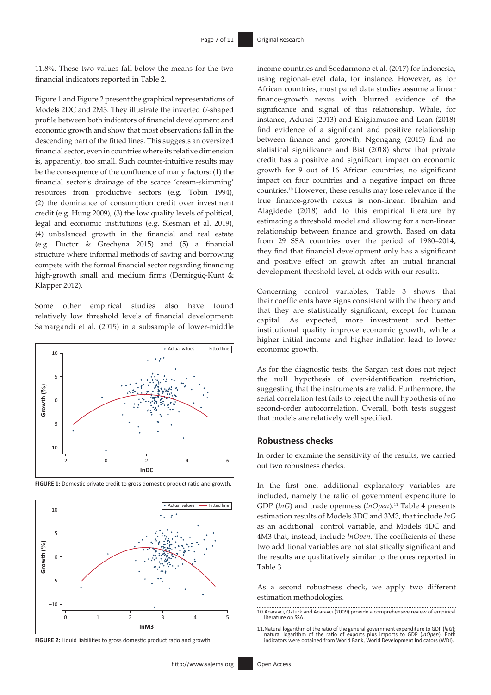11.8%. These two values fall below the means for the two financial indicators reported in Table 2.

Figure 1 and Figure 2 present the graphical representations of Models 2DC and 2M3. They illustrate the inverted *U*-shaped profile between both indicators of financial development and economic growth and show that most observations fall in the descending part of the fitted lines. This suggests an oversized financial sector, even in countries where its relative dimension is, apparently, too small. Such counter-intuitive results may be the consequence of the confluence of many factors: (1) the financial sector's drainage of the scarce 'cream-skimming' resources from productive sectors (e.g. Tobin 1994), (2) the dominance of consumption credit over investment credit (e.g. Hung 2009), (3) the low quality levels of political, legal and economic institutions (e.g. Slesman et al. 2019), (4) unbalanced growth in the financial and real estate (e.g. Ductor & Grechyna 2015) and (5) a financial structure where informal methods of saving and borrowing compete with the formal financial sector regarding financing high-growth small and medium firms (Demirgüç-Kunt & Klapper 2012).

Some other empirical studies also have found relatively low threshold levels of financial development: Samargandi et al. (2015) in a subsample of lower-middle







**FIGURE 2:** Liquid liabilities to gross domestic product ratio and growth.

income countries and Soedarmono et al. (2017) for Indonesia, using regional-level data, for instance. However, as for African countries, most panel data studies assume a linear finance-growth nexus with blurred evidence of the significance and signal of this relationship. While, for instance, Adusei (2013) and Ehigiamusoe and Lean (2018) find evidence of a significant and positive relationship between finance and growth, Ngongang (2015) find no statistical significance and Bist (2018) show that private credit has a positive and significant impact on economic growth for 9 out of 16 African countries, no significant impact on four countries and a negative impact on three countries.10 However, these results may lose relevance if the true finance-growth nexus is non-linear. Ibrahim and Alagidede (2018) add to this empirical literature by estimating a threshold model and allowing for a non-linear relationship between finance and growth. Based on data from 29 SSA countries over the period of 1980–2014, they find that financial development only has a significant and positive effect on growth after an initial financial development threshold-level, at odds with our results.

Concerning control variables, Table 3 shows that their coefficients have signs consistent with the theory and that they are statistically significant, except for human capital. As expected, more investment and better institutional quality improve economic growth, while a higher initial income and higher inflation lead to lower economic growth.

As for the diagnostic tests, the Sargan test does not reject the null hypothesis of over-identification restriction, suggesting that the instruments are valid. Furthermore, the serial correlation test fails to reject the null hypothesis of no second-order autocorrelation. Overall, both tests suggest that models are relatively well specified.

### **Robustness checks**

In order to examine the sensitivity of the results, we carried out two robustness checks.

In the first one, additional explanatory variables are included, namely the ratio of government expenditure to GDP (lnG) and trade openness (lnOpen).<sup>11</sup> Table 4 presents estimation results of Models 3DC and 3M3, that include *lnG*  as an additional control variable, and Models 4DC and 4M3 that, instead, include *lnOpen*. The coefficients of these two additional variables are not statistically significant and the results are qualitatively similar to the ones reported in Table 3.

As a second robustness check, we apply two different estimation methodologies.

<sup>10.</sup>Acaravci, Ozturk and Acaravci (2009) provide a comprehensive review of empirical literature on SSA.

<sup>11.</sup>Natural logarithm of the ratio of the general government expenditure to GDP (*lnG*); natural logarithm of the ratio of exports plus imports to GDP (*lnOpen*). Both indicators were obtained from World Bank, World Development Indicators (WDI).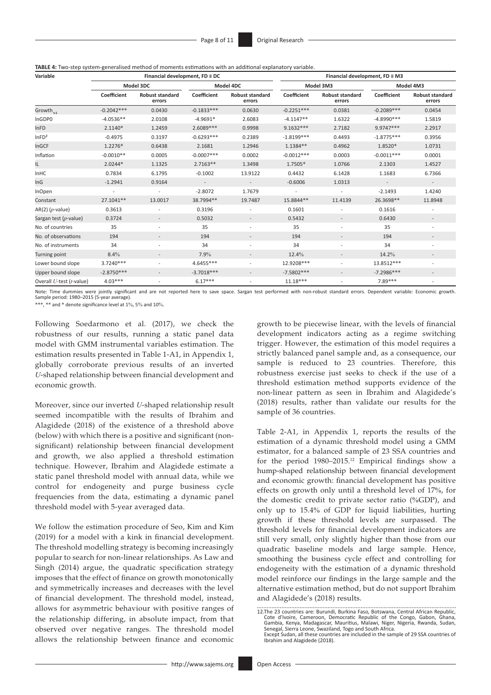**TABLE 4:** Two-step system-generalised method of moments estimations with an additional explanatory variable.

| Variable                   |              | Financial development, $FD \equiv DC$ |               |                                  | Financial development, $FD \equiv M3$ |                                  |              |                                  |  |
|----------------------------|--------------|---------------------------------------|---------------|----------------------------------|---------------------------------------|----------------------------------|--------------|----------------------------------|--|
|                            |              | Model 3DC                             |               | Model 4DC                        |                                       | Model 3M3                        |              | Model 4M3                        |  |
|                            | Coefficient  | <b>Robust standard</b><br>errors      | Coefficient   | <b>Robust standard</b><br>errors | Coefficient                           | <b>Robust standard</b><br>errors | Coefficient  | <b>Robust standard</b><br>errors |  |
| Growth <sub>t-1</sub>      | $-0.2042***$ | 0.0430                                | $-0.1833***$  | 0.0630                           | $-0.2251***$                          | 0.0381                           | $-0.2089***$ | 0.0454                           |  |
| InGDP0                     | $-4.0536**$  | 2.0108                                | $-4.9691*$    | 2.6083                           | $-4.1147**$                           | 1.6322                           | $-4.8990***$ | 1.5819                           |  |
| <b>InFD</b>                | 2.1140*      | 1.2459                                | 2.6089***     | 0.9998                           | 9.1632 ***                            | 2.7182                           | 9.9747***    | 2.2917                           |  |
| InFD <sup>2</sup>          | $-0.4975$    | 0.3197                                | $-0.6293***$  | 0.2389                           | $-1.8199***$                          | 0.4493                           | $-1.8775***$ | 0.3956                           |  |
| InGCF                      | 1.2276*      | 0.6438                                | 2.1681        | 1.2946                           | 1.1384**                              | 0.4962                           | 1.8520*      | 1.0731                           |  |
| Inflation                  | $-0.0010**$  | 0.0005                                | $-0.0007$ *** | 0.0002                           | $-0.0012***$                          | 0.0003                           | $-0.0011***$ | 0.0001                           |  |
| IL.                        | $2.0244*$    | 1.1325                                | $2.7163**$    | 1.3498                           | 1.7505*                               | 1.0766                           | 2.1303       | 1.4527                           |  |
| <b>InHC</b>                | 0.7834       | 6.1795                                | $-0.1002$     | 13.9122                          | 0.4432                                | 6.1428                           | 1.1683       | 6.7366                           |  |
| InG                        | $-1.2941$    | 0.9164                                |               | $\overline{\phantom{a}}$         | $-0.6006$                             | 1.0313                           |              |                                  |  |
| <b>InOpen</b>              |              | $\overline{\phantom{a}}$              | $-2.8072$     | 1.7679                           | $\overline{\phantom{a}}$              |                                  | $-2.1493$    | 1.4240                           |  |
| Constant                   | 27.1041**    | 13.0017                               | 38.7994**     | 19.7487                          | 15.8844**                             | 11.4139                          | 26.3698**    | 11.8948                          |  |
| $AR(2)$ ( <i>p</i> -value) | 0.3613       |                                       | 0.3196        |                                  | 0.1601                                |                                  | 0.1616       |                                  |  |
| Sargan test (p-value)      | 0.3724       | $\sim$                                | 0.5032        | $\overline{\phantom{a}}$         | 0.5432                                | $\overline{\phantom{a}}$         | 0.6430       | $\overline{\phantom{a}}$         |  |
| No. of countries           | 35           | $\sim$                                | 35            | ٠                                | 35                                    | $\overline{\phantom{a}}$         | 35           | $\overline{\phantom{a}}$         |  |
| No. of observations        | 194          |                                       | 194           |                                  | 194                                   |                                  | 194          |                                  |  |
| No. of instruments         | 34           | $\sim$                                | 34            | $\overline{\phantom{a}}$         | 34                                    | $\overline{\phantom{a}}$         | 34           | $\overline{\phantom{a}}$         |  |
| Turning point              | 8.4%         | $\overline{\phantom{a}}$              | 7.9%          | $\overline{\phantom{a}}$         | 12.4%                                 | $\overline{\phantom{a}}$         | 14.2%        |                                  |  |
| Lower bound slope          | 3.7240***    |                                       | 4.6455***     |                                  | 12.9208***                            | $\qquad \qquad \blacksquare$     | 13.8512***   |                                  |  |
| Upper bound slope          | $-2.8750***$ | $\overline{a}$                        | $-3.7018***$  | $\overline{\phantom{a}}$         | $-7.5802***$                          | $\overline{\phantom{0}}$         | $-7.2986***$ | $\overline{\phantom{a}}$         |  |
| Overall U-test (t-value)   | $4.03***$    |                                       | $6.17***$     |                                  | $11.18***$                            |                                  | 7.89***      |                                  |  |

Note: Time dummies were jointly significant and are not reported here to save space. Sargan test performed with non-robust standard errors. Dependent variable: Economic growth.<br>Sample period: 1980–2015 (5-year average).

\*\*\*, \*\* and \* denote significance level at 1%, 5% and 10%.

Following Soedarmono et al. (2017), we check the robustness of our results, running a static panel data model with GMM instrumental variables estimation. The estimation results presented in Table 1-A1, in Appendix 1, globally corroborate previous results of an inverted *U*-shaped relationship between financial development and economic growth.

Moreover, since our inverted *U*-shaped relationship result seemed incompatible with the results of Ibrahim and Alagidede (2018) of the existence of a threshold above (below) with which there is a positive and significant (nonsignificant) relationship between financial development and growth, we also applied a threshold estimation technique. However, Ibrahim and Alagidede estimate a static panel threshold model with annual data, while we control for endogeneity and purge business cycle frequencies from the data, estimating a dynamic panel threshold model with 5-year averaged data.

We follow the estimation procedure of Seo, Kim and Kim (2019) for a model with a kink in financial development. The threshold modelling strategy is becoming increasingly popular to search for non-linear relationships. As Law and Singh (2014) argue, the quadratic specification strategy imposes that the effect of finance on growth monotonically and symmetrically increases and decreases with the level of financial development. The threshold model, instead, allows for asymmetric behaviour with positive ranges of the relationship differing, in absolute impact, from that observed over negative ranges. The threshold model allows the relationship between finance and economic growth to be piecewise linear, with the levels of financial development indicators acting as a regime switching trigger. However, the estimation of this model requires a strictly balanced panel sample and, as a consequence, our sample is reduced to 23 countries. Therefore, this robustness exercise just seeks to check if the use of a threshold estimation method supports evidence of the non-linear pattern as seen in Ibrahim and Alagidede's (2018) results, rather than validate our results for the sample of 36 countries.

Table 2-A1, in Appendix 1, reports the results of the estimation of a dynamic threshold model using a GMM estimator, for a balanced sample of 23 SSA countries and for the period 1980–2015.12 Empirical findings show a hump-shaped relationship between financial development and economic growth: financial development has positive effects on growth only until a threshold level of 17%, for the domestic credit to private sector ratio (%GDP), and only up to 15.4% of GDP for liquid liabilities, hurting growth if these threshold levels are surpassed. The threshold levels for financial development indicators are still very small, only slightly higher than those from our quadratic baseline models and large sample. Hence, smoothing the business cycle effect and controlling for endogeneity with the estimation of a dynamic threshold model reinforce our findings in the large sample and the alternative estimation method, but do not support Ibrahim and Alagidede's (2018) results.

<sup>12.</sup>The 23 countries are: Burundi, Burkina Faso, Botswana, Central African Republic, Cote d'Ivoire, Cameroon, Democratic Republic of the Congo, Gabon, Ghana,<br>Gambia, Kenya, Madagascar, Mauritius, Malawi, Niger, Nigeria, Rwanda, Sudan,<br>Senegal, Sierra Leone, Swaziland, Togo and South Africa. Except Sudan, all these countries are included in the sample of 29 SSA countries of Ibrahim and Alagidede (2018).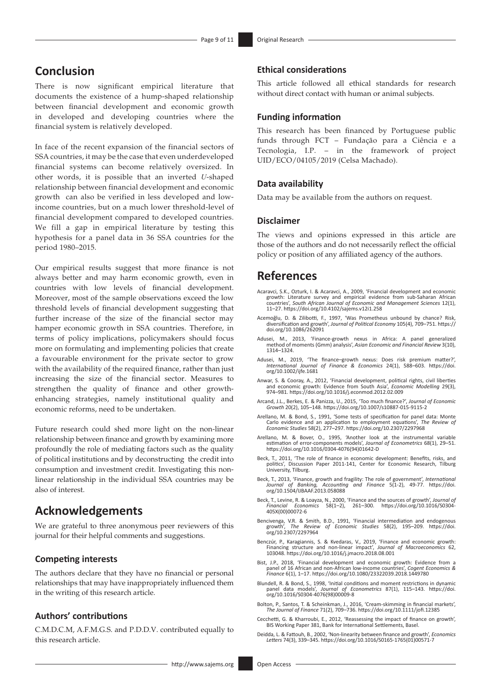# **Conclusion**

There is now significant empirical literature that documents the existence of a hump-shaped relationship between financial development and economic growth in developed and developing countries where the financial system is relatively developed.

In face of the recent expansion of the financial sectors of SSA countries, it may be the case that even underdeveloped financial systems can become relatively oversized. In other words, it is possible that an inverted *U*-shaped relationship between financial development and economic growth can also be verified in less developed and lowincome countries, but on a much lower threshold-level of financial development compared to developed countries. We fill a gap in empirical literature by testing this hypothesis for a panel data in 36 SSA countries for the period 1980–2015.

Our empirical results suggest that more finance is not always better and may harm economic growth, even in countries with low levels of financial development. Moreover, most of the sample observations exceed the low threshold levels of financial development suggesting that further increase of the size of the financial sector may hamper economic growth in SSA countries. Therefore, in terms of policy implications, policymakers should focus more on formulating and implementing policies that create a favourable environment for the private sector to grow with the availability of the required finance, rather than just increasing the size of the financial sector. Measures to strengthen the quality of finance and other growthenhancing strategies, namely institutional quality and economic reforms, need to be undertaken.

Future research could shed more light on the non-linear relationship between finance and growth by examining more profoundly the role of mediating factors such as the quality of political institutions and by deconstructing the credit into consumption and investment credit. Investigating this nonlinear relationship in the individual SSA countries may be also of interest.

## **Acknowledgements**

We are grateful to three anonymous peer reviewers of this journal for their helpful comments and suggestions.

### **Competing interests**

The authors declare that they have no financial or personal relationships that may have inappropriately influenced them in the writing of this research article.

### **Authors' contributions**

C.M.D.C.M, A.F.M.G.S. and P.D.D.V. contributed equally to this research article.

### **Ethical considerations**

This article followed all ethical standards for research without direct contact with human or animal subjects.

#### **Funding information**

This research has been financed by Portuguese public funds through FCT – Fundação para a Ciência e a Tecnologia, I.P. – in the framework of project UID/ECO/04105/2019 (Celsa Machado).

#### **Data availability**

Data may be available from the authors on request.

### **Disclaimer**

The views and opinions expressed in this article are those of the authors and do not necessarily reflect the official policy or position of any affiliated agency of the authors.

### **References**

- Acaravci, S.K., Ozturk, I. & Acaravci, A., 2009, 'Financial development and economic<br>growth: Literature survey and empirical evidence from sub-Saharan African<br>countries', South African Journal of Economic and Management Sc 11–27.<https://doi.org/10.4102/sajems.v12i1.258>
- Acemoğlu, D. & Zilibotti, F., 1997, 'Was Prometheus unbound by chance? Risk, diversification and growth', *Journal of Political Economy* 105(4), 709–751. [https://](https://doi.org/10.1086/262091) [doi.org/10.1086/262091](https://doi.org/10.1086/262091)
- Adusei, M., 2013, 'Finance-growth nexus in Africa: A panel generalized method of moments (Gmm) analysis', *Asian Economic and Financial Review* 3(10), 1314–1324.
- Adusei, M., 2019, 'The finance–growth nexus: Does risk premium matter?' *International Journal of Finance & Economics* 24(1), 588–603. [https://doi.](https://doi.org/10.1002/ijfe.1681) [org/10.1002/ijfe.1681](https://doi.org/10.1002/ijfe.1681)
- Anwar, S. & Cooray, A., 2012, 'Financial development, political rights, civil liberties and economic growth: Evidence from South Asia', *Economic Modelling* 29(3), 974–981.<https://doi.org/10.1016/j.econmod.2012.02.009>
- Arcand, J.L., Berkes, E. & Panizza, U., 2015, 'Too much finance?', *Journal of Economic Growth* 20(2), 105–148.<https://doi.org/10.1007/s10887-015-9115-2>
- Arellano, M. & Bond, S., 1991, 'Some tests of specification for panel data: Monte Carlo evidence and an application to employment equations', *The Review of Economic Studies* 58(2), 277–297.<https://doi.org/10.2307/2297968>
- Arellano, M. & Bover, O., 1995, 'Another look at the instrumental variable estimation of error-components models', *Journal of Econometrics* 68(1), 29–51. [https://doi.org/10.1016/0304-4076\(94\)01642-D](https://doi.org/10.1016/0304-4076(94)01642-D)
- Beck, T., 2011, 'The role of finance in economic development: Benefits, risks, and politics', Discussion Paper 2011-141, Center for Economic Research, Tilburg University, Tilburg.
- Beck, T., 2013, 'Finance, growth and fragility: The role of government', *International Journal of Banking, Accounting and Finance* 5(1-2), 49-77. [https://doi.](https://doi.org/10.1504/IJBAAF.2013.058088) Journal of Banking, Accountin<br>[org/10.1504/IJBAAF.2013.058088](https://doi.org/10.1504/IJBAAF.2013.058088)
- Beck, T., Levine, R. & Loayza, N., 2000, 'Finance and the sources of growth', *Journal of Financial Economics* 58(1–2), 261–300. [https://doi.org/10.1016/S0304-](https://doi.org/10.1016/S0304-405X(00)00072-6) [405X\(00\)00072-6](https://doi.org/10.1016/S0304-405X(00)00072-6)
- Bencivenga, V.R. & Smith, B.D., 1991, 'Financial intermediation and endogenous growth', *The Review of Economic Studies* 58(2), 195–209. [https://doi.](https://doi.org/10.2307/2297964) [org/10.2307/2297964](https://doi.org/10.2307/2297964)
- Benczúr, P., Karagiannis, S. & Kvedaras, V., 2019, 'Finance and economic growth: Financing structure and non-linear impact', *Journal of Macroeconomics* 62, 103048. <https://doi.org/10.1016/j.jmacro.2018.08.001>
- Bist, J.P., 2018, 'Financial development and economic growth: Evidence from a<br>panel of 16 African and non-African low-income countries', Cogent Economics &<br>Finance 6(1), 1-17. <https://doi.org/10.1080/23322039.2018.1449780>
- Blundell, R. & Bond, S., 1998, 'Initial conditions and moment restrictions in dynamic panel data models', *Journal of Econometrics* 87(1), 115–143. [https://doi.](https://doi.org/10.1016/S0304-4076(98)00009-8) [org/10.1016/S0304-4076\(98\)00009-8](https://doi.org/10.1016/S0304-4076(98)00009-8)
- Bolton, P., Santos, T. & Scheinkman, J., 2016, 'Cream-skimming in financial markets', *The Journal of Finance* 71(2), 709–736.<https://doi.org/10.1111/jofi.12385>
- Cecchetti, G. & Kharroubi, E., 2012, 'Reassessing the impact of finance on growth', BIS Working Paper 381, Bank for International Settlements, Basel.
- Deidda, L. & Fattouh, B., 2002, 'Non-linearity between finance and growth', *Economics Letters* 74(3), 339–345. [https://doi.org/10.1016/S0165-1765\(01\)00571-7](https://doi.org/10.1016/S0165-1765(01)00571-7)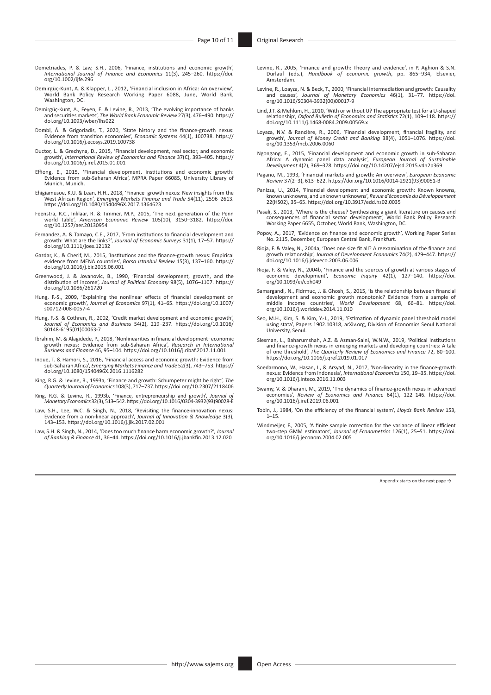- Demetriades, P. & Law, S.H., 2006, 'Finance, institutions and economic growth', *International Journal of Finance and Economics* 11(3), 245–260. [https://doi.](https://doi.org/10.1002/ijfe.296) [org/10.1002/ijfe.296](https://doi.org/10.1002/ijfe.296)
- Demirgüç-Kunt, A. & Klapper, L., 2012, 'Financial inclusion in Africa: An overview', World Bank Policy Research Working Paper 6088, June, World Bank, Washington, DC.
- Demirgüç-Kunt, A., Feyen, E. & Levine, R., 2013, 'The evolving importance of banks and securities markets', *The World Bank Economic Review* 27(3), 476–490. [https://](https://doi.org/10.1093/wber/lhs022) [doi.org/10.1093/wber/lhs022](https://doi.org/10.1093/wber/lhs022)
- Dombi, Á. & Grigoriadis, T., 2020, 'State history and the finance-growth nexus: Evidence from transition economies', *Economic Systems* 44(1), 100738. [https://](https://doi.org/10.1016/j.ecosys.2019.100738) [doi.org/10.1016/j.ecosys.2019.100738](https://doi.org/10.1016/j.ecosys.2019.100738)
- Ductor, L. & Grechyna, D., 2015, 'Financial development, real sector, and economic growth', *International Review of Economics and Finance* 37(C), 393–405. [https://](https://doi.org/10.1016/j.iref.2015.01.001) growth', International According to 1900.<br>[doi.org/10.1016/j.iref.2015.01.001](https://doi.org/10.1016/j.iref.2015.01.001)
- Effiong, E., 2015, 'Financial development, institutions and economic growth: Evidence from sub-Saharan Africa', MPRA Paper 66085, University Library of Munich, Munich.
- Ehigiamusoe, K.U. & Lean, H.H., 2018, 'Finance–growth nexus: New insights from the West African Region', *Emerging Markets Finance and Trade* 54(11), 2596–2613.<br><https://doi.org/10.1080/1540496X.2017.1364623>
- Feenstra, R.C., Inklaar, R. & Timmer, M.P., 2015, 'The next generation of the Penn<br>world table', *American Economic Review* 105(10), 3150–3182. [https://doi.](https://doi.org/10.1257/aer.20130954)<br>[org/10.1257/aer.20130954](https://doi.org/10.1257/aer.20130954)
- Fernandez, A. & Tamayo, C.E., 2017, 'From institutions to financial development and<br>growth: What are the links?', *Journal of Economic Surveys* 31(1), 17–57. [https://](https://doi.org/10.1111/joes.12132)<br>[doi.org/10.1111/joes.12132](https://doi.org/10.1111/joes.12132)
- Gazdar, K., & Cherif, M., 2015, 'Institutions and the finance-growth nexus: Empirical evidence from MENA countries', *Borsa Istanbul Review* 15(3), 137–160. [https://](https://doi.org/10.1016/j.bir.2015.06.001) [doi.org/10.1016/j.bir.2015.06.001](https://doi.org/10.1016/j.bir.2015.06.001)
- Greenwood, J. & Jovanovic, B., 1990, 'Financial development, growth, and the distribution of income', *Journal of Political Economy* 98(5), 1076–1107. [https://](https://doi.org/10.1086/261720)<br>[doi.org/10.1086/261720](https://doi.org/10.1086/261720)
- Hung, F.-S., 2009, 'Explaining the nonlinear effects of financial development on economic growth', *Journal of Economics* 97(1), 41–65. [https://doi.org/10.1007/](https://doi.org/10.1007/s00712-008-0057-4) [s00712-008-0057-4](https://doi.org/10.1007/s00712-008-0057-4)
- Hung, F.-S. & Cothren, R., 2002, 'Credit market development and economic growth' *Journal of Economics and Business* 54(2), 219–237. [https://doi.org/10.1016/](https://doi.org/10.1016/S0148-6195(01)00063-7) [S0148-6195\(01\)00063-7](https://doi.org/10.1016/S0148-6195(01)00063-7)
- Ibrahim, M. & Alagidede, P., 2018, 'Nonlinearities in financial development–economic growth nexus: Evidence from sub-Saharan Africa', *Research in International Business and Finance* 46, 95–104.<https://doi.org/10.1016/j.ribaf.2017.11.001>
- Inoue, T. & Hamori, S., 2016, 'Financial access and economic growth: Evidence from sub-Saharan Africa', *Emerging Markets Finance and Trade* 52(3), 743–753. [https://](https://doi.org/10.1080/1540496X.2016.1116282) [doi.org/10.1080/1540496X.2016.1116282](https://doi.org/10.1080/1540496X.2016.1116282)
- King, R.G. & Levine, R., 1993a, 'Finance and growth: Schumpeter might be right', *The Quarterly Journal of Economics* 108(3), 717–737.<https://doi.org/10.2307/2118406>
- King, R.G. & Levine, R., 1993b, 'Finance, entrepreneurship and growth', *Journal of Monetary Economics* 32(3), 513–542. [https://doi.org/10.1016/0304-3932\(93\)90028-E](https://doi.org/10.1016/0304-3932(93)90028-E)
- Law, S.H., Lee, W.C. & Singh, N., 2018, 'Revisiting the finance-innovation nexus: Evidence from a non-linear approach', *Journal of Innovation & Knowledge* 3(3), 143–153. <https://doi.org/10.1016/j.jik.2017.02.001>
- Law, S.H. & Singh, N., 2014, 'Does too much finance harm economic growth?', *Journal of Banking & Finance* 41, 36–44. <https://doi.org/10.1016/j.jbankfin.2013.12.020>
- Levine, R., 2005, 'Finance and growth: Theory and evidence', in P. Aghion & S.N. Durlauf (eds.), *Handbook of economic growth*, pp. 865–934, Elsevier, Amsterdam.
- Levine, R., Loayza, N. & Beck, T., 2000, 'Financial intermediation and growth: Causality and causes', *Journal of Monetary Economics* 46(1), 31–77. [https://doi.](https://doi.org/10.1016/S0304-3932(00)00017-9) [org/10.1016/S0304-3932\(00\)00017-9](https://doi.org/10.1016/S0304-3932(00)00017-9)
- Lind, J.T. & Mehlum, H., 2010, 'With or without U? The appropriate test for a U-shaped relationship', *Oxford Bulletin of Economics and Statistics* 72(1), 109–118. [https://](https://doi.org/10.1111/j.1468-0084.2009.00569.x) [doi.org/10.1111/j.1468-0084.2009.00569.x](https://doi.org/10.1111/j.1468-0084.2009.00569.x)
- Loyaza, N.V. & Rancière, R., 2006, 'Financial development, financial fragility, and growth', *Journal of Money Credit and Banking* 38(4), 1051–1076. [https://doi.](https://doi.org/10.1353/mcb.2006.0060) [org/10.1353/mcb.2006.0060](https://doi.org/10.1353/mcb.2006.0060)
- Ngongang, E., 2015, 'Financial development and economic growth in sub-Saharan Africa: A dynamic panel data analysis', *European Journal of Sustainable Development* 4(2), 369–378.<https://doi.org/10.14207/ejsd.2015.v4n2p369>
- Pagano, M., 1993, 'Financial markets and growth: An overview', *European Economic Review* 37(2–3), 613–622. [https://doi.org/10.1016/0014-2921\(93\)90051-B](https://doi.org/10.1016/0014-2921(93)90051-B)
- Panizza, U., 2014, 'Financial development and economic growth: Known knowns, known unknowns, and unknown unknowns', *Revue d'économie du Développement* 22(HS02), 35–65. <https://doi.org/10.3917/edd.hs02.0035>
- Pasali, S., 2013, 'Where is the cheese? Synthesizing a giant literature on causes and consequences of financial sector development', World Bank Policy Research Working Paper 6655, October, World Bank, Washington, DC.
- Popov, A., 2017, 'Evidence on finance and economic growth', Working Paper Series No. 2115, December, European Central Bank, Frankfurt.
- Rioja, F. & Valey, N., 2004a, 'Does one size fit all? A reexamination of the finance and growth relationship', *Journal of Development Economics* 74(2), 429–447. [https://](https://doi.org/10.1016/j.jdeveco.2003.06.006) [doi.org/10.1016/j.jdeveco.2003.06.006](https://doi.org/10.1016/j.jdeveco.2003.06.006)
- Rioja, F. & Valey, N., 2004b, 'Finance and the sources of growth at various stages of economic development', *Economic Inquiry* 42(1), 127–140. [https://doi.](https://doi.org/10.1093/ei/cbh049) [org/10.1093/ei/cbh049](https://doi.org/10.1093/ei/cbh049)
- Samargandi, N., Fidrmuc, J. & Ghosh, S., 2015, 'Is the relationship between financial development and economic growth monotonic? Evidence from a sample of middle income countries', World Development 68, 66–81. [https://doi.](https://doi.org/10.1016/j.worlddev.2014.11.010) [org/10.1016/j.worlddev.2014.11.010](https://doi.org/10.1016/j.worlddev.2014.11.010)
- Seo, M.H., Kim, S. & Kim, Y.-J., 2019, 'Estimation of dynamic panel threshold model using stata', Papers 1902.10318, arXiv.org, Division of Economics Seoul National University, Seoul.
- Slesman, L., Baharumshah, A.Z. & Azman-Saini, W.N.W., 2019, 'Political institutions and finance-growth nexus in emerging markets and developing countries: A tale of one threshold', *The Quarterly Review of Economics and Finance* 72, 80–100. <https://doi.org/10.1016/j.qref.2019.01.017>
- Soedarmono, W., Hasan, I., & Arsyad, N., 2017, 'Non-linearity in the finance-growth nexus: Evidence from Indonesia', *International Economics* 150, 19–35. [https://doi.](https://doi.org/10.1016/j.inteco.2016.11.003) [org/10.1016/j.inteco.2016.11.003](https://doi.org/10.1016/j.inteco.2016.11.003)
- Swamy, V. & Dharani, M., 2019, 'The dynamics of finance-growth nexus in advanced economies', *Review of Economics and Finance* 64(1), 122–146. [https://doi.](https://doi.org/10.1016/j.iref.2019.06.001) [org/10.1016/j.iref.2019.06.001](https://doi.org/10.1016/j.iref.2019.06.001)
- Tobin, J., 1984, 'On the efficiency of the financial system', *Lloyds Bank Review* 153,  $1 - 15$
- Windmeijer, F., 2005, 'A finite sample correction for the variance of linear efficient two-step GMM estimators', *Journal of Econometrics* 126(1), 25–51. [https://doi.](https://doi.org/10.1016/j.jeconom.2004.02.005) [org/10.1016/j.jeconom.2004.02.005](https://doi.org/10.1016/j.jeconom.2004.02.005)

Appendix starts on the next page  $\rightarrow$